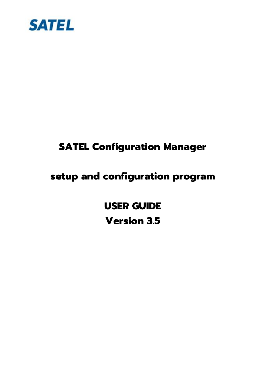

# **SATEL Configuration Manager**

# **setup and configuration program**

**USER GUIDE Version 3.5**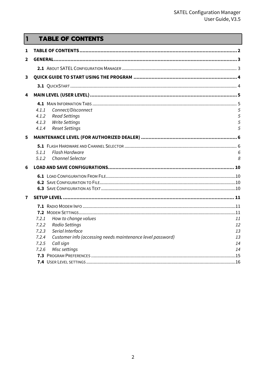#### <span id="page-1-0"></span> $\overline{1}$ **TABLE OF CONTENTS**

| 1            |                                                                     |    |
|--------------|---------------------------------------------------------------------|----|
| $\mathbf{2}$ |                                                                     |    |
|              |                                                                     |    |
| 3            |                                                                     |    |
|              |                                                                     |    |
| 4            |                                                                     |    |
|              |                                                                     |    |
|              | Connect/Disconnect<br>4.1.1                                         | 5  |
|              | 4.1.2<br><b>Read Settings</b>                                       | 5  |
|              | <b>Write Settings</b><br>4.1.3                                      | 5  |
|              | <b>Reset Settings</b><br>4.1.4                                      | 5  |
| 5            |                                                                     |    |
|              |                                                                     |    |
|              | Flash Hardware<br>5.1.1                                             | 6  |
|              | <b>Channel Selector</b><br>5.1.2                                    | 8  |
| 6            |                                                                     |    |
|              |                                                                     |    |
|              |                                                                     |    |
|              |                                                                     |    |
| 7            |                                                                     |    |
|              |                                                                     |    |
|              |                                                                     |    |
|              | How to change values<br>7.2.1                                       | 11 |
|              | <b>Radio Settings</b><br>7.2.2                                      | 12 |
|              | Serial Interface<br>7.2.3                                           | 13 |
|              | Customer info (accessing needs maintenance level password)<br>7.2.4 | 13 |
|              | 7.2.5<br>Call sign                                                  | 14 |
|              | Misc settings<br>7.2.6                                              | 14 |
|              |                                                                     |    |
|              |                                                                     |    |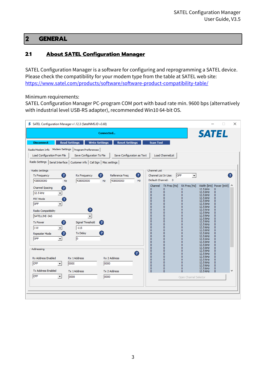# <span id="page-2-0"></span>2 **GENERAL**

## <span id="page-2-1"></span>**2.1 About SATEL Configuration Manager**

SATEL Configuration Manager is a software for configuring and reprogramming a SATEL device. Please check the compatibility for your modem type from the table at SATEL web site: <https://www.satel.com/products/software/software-product-compatibility-table/>

Minimum requirements:

SATEL Configuration Manager PC-program COM port with baud rate min. 9600 bps (alternatively with industrial level USB-RS adapter), recommended Win10 64-bit OS.

|                                | S SATEL Configuration Manager v1.12.3 (SatelNMS.ID v3.68)                     |                                                |                                |                                                                  | ×                                                        |
|--------------------------------|-------------------------------------------------------------------------------|------------------------------------------------|--------------------------------|------------------------------------------------------------------|----------------------------------------------------------|
|                                |                                                                               | Connected                                      |                                |                                                                  | <b>SATEL</b>                                             |
| <b>Disconnect</b>              | <b>Read Settings</b>                                                          | <b>Write Settings</b><br><b>Reset Settings</b> | <b>Scan Tool</b>               |                                                                  |                                                          |
|                                | Radio Modem Info Modem Settings   Program Preferences                         |                                                |                                |                                                                  |                                                          |
| Load Configuration From File   | Save Configuration To File                                                    | Save Configuration as Text                     |                                | Load ChannelList                                                 |                                                          |
|                                | Radio Settings   Serial Interface   Customer info   Call Sign   Misc settings |                                                |                                |                                                                  |                                                          |
| Radio Settings                 |                                                                               |                                                | <b>Channel List</b>            |                                                                  |                                                          |
| 2<br><b>Tx Frequency</b>       | <b>Rx Frequency</b>                                                           | $\overline{?}$<br>Reference Freg               | ø<br>Channel List In Use:      | <b>OFF</b><br>$\blacktriangledown$                               | 2                                                        |
| 438000000                      | 438000000<br>Hz                                                               | 438000000<br>Hz                                | Hz                             | Default Channel: 0                                               |                                                          |
| Channel Spacing                | 2                                                                             |                                                | Channel<br>0                   | TX Freq [Hz]<br>RX Freq [Hz]<br>0<br>0                           | Width [kHz] Power [mW] ^<br>12.5 kHz<br>$\circ$          |
| 12.5 kHz                       |                                                                               |                                                | $\mathbf{0}$<br>$\mathbf{0}$   | $\mathbf{0}$<br>0<br>$\mathbf{0}$<br>$\circ$                     | 12.5 kHz<br>$\circ$<br>12.5 kHz<br>0                     |
| <b>FEC Mode</b>                | 2                                                                             |                                                | $\mathbf{0}$<br>$\mathbf{0}$   | $\mathbf{0}$<br>0<br>0<br>o                                      | 12.5 kHz<br>$\Omega$<br>12.5 kHz<br>$\sigma$             |
| OFF                            |                                                                               |                                                | $\mathbf{0}$<br>$\mathbf{0}$   | $\mathbf{0}$<br>$\mathbf{0}$<br>$\overline{0}$<br>$\overline{0}$ | 12.5 kHz<br>$\overline{0}$<br>12.5 kHz<br>$\overline{0}$ |
| Radio Compatibility            | 2                                                                             |                                                | $\mathbf{0}$                   | 0<br>$\mathbf 0$<br>$\mathbf{0}$                                 | 12.5 kHz<br>$\Omega$                                     |
| SATELLINE-3AS                  | $\overline{\phantom{a}}$                                                      |                                                | $\overline{0}$<br>$\mathbf{0}$ | 0<br>$\mathbf 0$<br>$\mathbf{0}$                                 | 12.5 kHz<br>$\Omega$<br>12.5 kHz<br>0                    |
| <b>Tx Power</b><br>2           | Signal Threshold                                                              | (?)                                            | $\mathbf 0$<br>$\mathbf 0$     | 0<br>$\mathbf{0}$<br>0<br>0                                      | 12.5 kHz<br>$\Omega$<br>12.5 kHz<br>0                    |
| l1 W                           | $-115$                                                                        |                                                | $\mathbf{0}$<br>$\mathbf{0}$   | $\Omega$<br>0<br>0<br>$\mathbf{0}$                               | 12.5 kHz<br>$\Omega$<br>12.5 kHz<br>0                    |
| Repeater Mode                  | <b>Tx Delay</b><br>2                                                          | 3                                              | $\mathbf{0}$<br>$\mathbf{0}$   | $\mathbf 0$<br>$\mathbf{0}$<br>$\overline{0}$<br>$\mathbf{0}$    | 12.5 kHz<br>$\Omega$<br>12.5 kHz<br>$\overline{0}$       |
| OFF                            | ю                                                                             |                                                | $\mathbf 0$<br>$\mathbf{0}$    | $\mathbf{0}$<br>0<br>$\overline{0}$<br>$\mathbf{0}$              | 12.5 kHz<br>$\overline{0}$<br>12.5 kHz<br>$\overline{0}$ |
|                                |                                                                               |                                                | $\mathbf{0}$<br>$\mathbf{0}$   | $\mathbf 0$<br>0<br>$\overline{0}$<br>$\mathbf{0}$               | 12.5 kHz<br>0<br>12.5 kHz<br>$\sigma$                    |
| Addressing                     |                                                                               |                                                | $\mathbf 0$<br>$\mathbf{0}$    | $\mathbf{0}$<br>$\mathbf{0}$<br>0<br>$\mathbf{0}$                | 12.5 kHz<br>0<br>12.5 kHz<br>$\Omega$                    |
| <b>Rx Address Enabled</b>      | Rx 1 Address                                                                  | Rx 2 Address                                   | 2<br>ö<br>$\mathbf{0}$         | $\mathbf{0}$<br>0<br>$\mathbf 0$<br>$\mathbf{0}$                 | 12.5 kHz<br>0<br>12.5 kHz<br>$\Omega$                    |
| OFF<br>$\overline{\mathbf{v}}$ | 0000                                                                          | 0000                                           | $\mathbf 0$<br>$\overline{0}$  | $\mathbf{0}$<br>0<br>$\mathbf{0}$<br>$\overline{0}$              | 12.5 kHz<br>$\Omega$<br>12.5 kHz<br>$\Omega$             |
| <b>Tx Address Enabled</b>      |                                                                               |                                                | $\mathbf{0}$<br>$\mathbf{0}$   | $\overline{0}$<br>o<br>$\overline{0}$<br>0                       | 12.5 kHz<br>$\overline{0}$<br>12.5 kHz<br>$\circ$        |
| OFF<br>$\blacktriangledown$    | <b>Tx 1 Address</b><br>0000                                                   | <b>Tx 2 Address</b><br>0000                    | $\Omega$                       | $\Omega$<br>$\Omega$                                             | 12.5 kHz<br>$\mathbf{0}$                                 |
|                                |                                                                               |                                                |                                | Open Channel Selector                                            |                                                          |
|                                |                                                                               |                                                |                                |                                                                  |                                                          |
|                                |                                                                               |                                                |                                |                                                                  |                                                          |
|                                |                                                                               |                                                |                                |                                                                  |                                                          |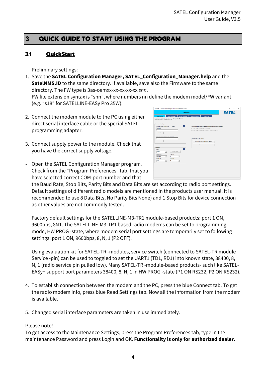# <span id="page-3-0"></span>3 **QUICK GUIDE TO START USING THE PROGRAM**

#### <span id="page-3-1"></span>**3.1 QuickStart**

Preliminary settings:

- 1. Save the **SATEL Configuration Manager, SATEL\_Configuration\_Manager.help** and the **SatelNMS.ID** to the same directory. If available, save also the Firmware to the same directory. The FW type is 3as-oemxx-xx-xx-xx-xx*.snn*. FW file extension syntax is "snn", where numbers nn define the modem model/FW variant (e.g. "s18" for SATELLINE-EASy Pro 35W).
- 2. Connect the modem module to the PC using either direct serial interface cable or the special SATEL programming adapter.
- 3. Connect supply power to the module. Check that you have the correct supply voltage.
- Open the SATEL Configuration Manager program. Check from the "Program Preferences" tab, that you have selected correct COM-port number and that

**SATEL** Read Settings Write Settings Reset Settings  $\bullet$  $\begin{tabular}{|c|c|c|c|} \hline & login & \\\hline \end{tabular}$  $Sone$  |  $\overline{\phantom{a}}$ 

the Baud Rate, Stop Bits, Parity Bits and Data Bits are set according to radio port settings. Default settings of different radio models are mentioned in the products user manual. It is recommended to use 8 Data Bits, No Parity Bits None) and 1 Stop Bits for device connection as other values are not commonly tested.

Factory default settings for the SATELLINE-M3-TR1 module-based products: port 1 ON, 9600bps, 8N1. The SATELLINE-M3-TR1 based radio modems can be set to programming mode, HW PROG -state, where modem serial port settings are temporarily set to following settings: port 1 ON, 9600bps, 8, N, 1 (P2 OFF).

Using evaluation kit for SATEL-TR -modules, service switch (connected to SATEL-TR module Service -pin) can be used to toggled to set the UART1 (TD1, RD1) into known state, 38400, 8, N, 1 (radio service pin pulled low). Many SATEL-TR -module-based products- such like SATEL-EASy+ support port parameters 38400, 8, N, 1 in HW PROG -state (P1 ON RS232, P2 ON RS232).

- 4. To establish connection between the modem and the PC, press the blue Connect tab. To get the radio modem info, press blue Read Settings tab. Now all the information from the modem is available.
- 5. Changed serial interface parameters are taken in use immediately.

#### Please note!

To get access to the Maintenance Settings, press the Program Preferences tab, type in the maintenance Password and press Login and OK. **Functionality is only for authorized dealer.**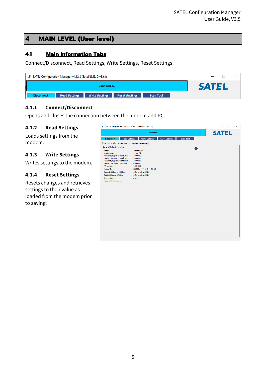# <span id="page-4-0"></span>4 **MAIN LEVEL (User level)**

## <span id="page-4-1"></span>**4.1 Main Information Tabs**

Connect/Disconnect, Read Settings, Write Settings, Reset Settings.

| <b>S</b> SATEL Configuration Manager v1.12.3 (SatelNMS.ID v3.68)                                              |              |
|---------------------------------------------------------------------------------------------------------------|--------------|
| Connected                                                                                                     | <b>SATEL</b> |
| Read Settings<br><b>Write Settings</b><br><b>Reset Settings</b><br>ш<br><b>Disconnect</b><br><b>Scan Tool</b> |              |

## <span id="page-4-2"></span>**4.1.1 Connect/Disconnect**

Opens and closes the connection between the modem and PC.

#### <span id="page-4-3"></span>**4.1.2 Read Settings**

Loads settings from the modem.

#### <span id="page-4-4"></span>**4.1.3 Write Settings**

Writes settings to the modem.

#### <span id="page-4-5"></span>**4.1.4 Reset Settings**

Resets changes and retrieves settings to their value as loaded from the modem prior to saving.

|                                                         | Connected                                                                                  | <b>SATEL</b> |
|---------------------------------------------------------|--------------------------------------------------------------------------------------------|--------------|
| <b>Disconnect</b>                                       | <b>Read Settings</b><br><b>Write Settings</b><br><b>Reset Settings</b><br><b>Scan Tool</b> |              |
| Radio Modem Info   Modem Settings   Program Preferences |                                                                                            |              |
| General Modem Information                               |                                                                                            |              |
| Model:                                                  | Satelline EASy                                                                             | B)           |
| Serial Number:                                          | 122100472                                                                                  |              |
| Frequency Upper Tx Band Limit:                          | 473000000                                                                                  |              |
| Frequency Lower Tx Band Limit:                          | 403000000                                                                                  |              |
| Frequency Upper Rx Band Limit:                          | 473000000                                                                                  |              |
| Frequency Lower Rx Band Limit:                          | 403000000                                                                                  |              |
| FW-version:                                             | 06.16.3.66                                                                                 |              |
| Module TD:                                              | SPL0005e / PV: 00.04 / IM: 05                                                              |              |
| Supported Channel Widths:                               | 12.5kHz, 20kHz, 25kHz                                                                      |              |
| <b>Enabled Channel Widths:</b>                          | 12.5kHz, 20kHz, 25kHz                                                                      |              |
| Region Code:                                            | Default                                                                                    |              |
| Enabled DRM features:                                   |                                                                                            |              |
|                                                         |                                                                                            |              |
|                                                         |                                                                                            |              |
|                                                         |                                                                                            |              |
|                                                         |                                                                                            |              |
|                                                         |                                                                                            |              |
|                                                         |                                                                                            |              |
|                                                         |                                                                                            |              |
|                                                         |                                                                                            |              |
|                                                         |                                                                                            |              |
|                                                         |                                                                                            |              |
|                                                         |                                                                                            |              |
|                                                         |                                                                                            |              |
|                                                         |                                                                                            |              |
|                                                         |                                                                                            |              |
|                                                         |                                                                                            |              |
|                                                         |                                                                                            |              |
|                                                         |                                                                                            |              |
|                                                         |                                                                                            |              |
|                                                         |                                                                                            |              |
|                                                         |                                                                                            |              |
|                                                         |                                                                                            |              |
|                                                         |                                                                                            |              |
|                                                         |                                                                                            |              |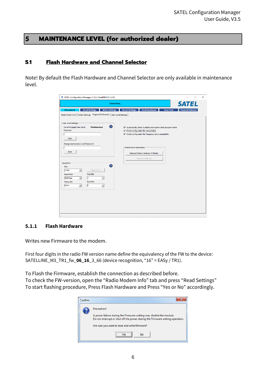# <span id="page-5-0"></span>5 **MAINTENANCE LEVEL (for authorized dealer)**

#### <span id="page-5-1"></span>**5.1 Flash Hardware and Channel Selector**

Note! By default the Flash Hardware and Channel Selector are only available in maintenance level.

| S SATEL Configuration Manager v1.12.3 (SatelNMS.ID v3.68)                                                                                                                                                   |                                                                                                                                                                                                                                 |                  | п                       | $\times$ |
|-------------------------------------------------------------------------------------------------------------------------------------------------------------------------------------------------------------|---------------------------------------------------------------------------------------------------------------------------------------------------------------------------------------------------------------------------------|------------------|-------------------------|----------|
| Connected                                                                                                                                                                                                   |                                                                                                                                                                                                                                 |                  | <b>SATEL</b>            |          |
| <b>Read Settings</b><br><b>Disconnect</b><br><b>Write Settings</b><br>Radio Modem Info   Modem Settings    Program Preferences   User Level Settings                                                        | <b>Reset Settings</b><br><b>Flash Hardware</b>                                                                                                                                                                                  | <b>Scan Tool</b> | <b>Channel Selector</b> |          |
| User Level Settings<br>◉<br>Current Logged User Level:<br><b>Maintenance</b><br>Password<br>Login                                                                                                           | $\overline{\mathsf{v}}$ Automatically check available comm ports when program starts<br>$\triangledown$ Check configuration file compatibility<br>$\overline{\mathbf{v}}$ Check configuration file frequency band compatibility |                  |                         |          |
| Change maintenance Level Password<br>Save                                                                                                                                                                   | Maintenance Operations<br>Restore Factory Settings To Modem<br>Recovery flashing                                                                                                                                                |                  |                         |          |
| Serial Port<br>◉<br>Port<br>Check Ports<br>COM <sub>1</sub><br>$\vert \cdot \vert$<br><b>Baud Rate</b><br><b>Stop Bits</b><br>$\overline{1}$<br>9600 bps<br>$\vert \cdot \vert$<br>$\overline{\phantom{a}}$ |                                                                                                                                                                                                                                 |                  |                         |          |
| Data Bits<br><b>Parity Bits</b><br>$\sqrt{8}$<br>None<br>$\vert \mathbf{v} \vert$<br>$\blacktriangledown$                                                                                                   |                                                                                                                                                                                                                                 |                  |                         |          |
|                                                                                                                                                                                                             |                                                                                                                                                                                                                                 |                  |                         |          |
|                                                                                                                                                                                                             |                                                                                                                                                                                                                                 |                  |                         |          |

#### <span id="page-5-2"></span>**5.1.1 Flash Hardware**

Writes new Firmware to the modem.

First four digits in the radio FW version name define the equivalency of the FW to the device: SATELLINE\_M3\_TR1\_fw\_**06\_16**\_3\_66 (device recognition, "16" = EASy / TR1).

To Flash the Firmware, establish the connection as described before.

To check the FW-version, open the "Radio Modem Info" tab and press "Read Settings" To start flashing procedure, Press Flash Hardware and Press "Yes or No" accordingly.

| Confirm | 22                                                                                                                                                   |
|---------|------------------------------------------------------------------------------------------------------------------------------------------------------|
|         | <b>Precaution!</b>                                                                                                                                   |
|         | A power failure during the Firmware writing may disable the module.<br>Do not interrupt or shut off the power during the Firmware writing operation. |
|         | Are sure you want to load and write firmware?                                                                                                        |
|         | <br>No                                                                                                                                               |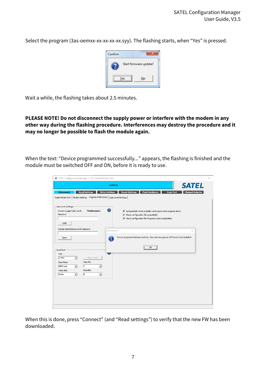Select the program (3as-oemxx-xx-xx-xx-xx.syy). The flashing starts, when "Yes" is pressed.



Wait a while, the flashing takes about 2.5 minutes.

**PLEASE NOTE! Do not disconnect the supply power or interfere with the modem in any other way during the flashing procedure. Interferences may destroy the procedure and it may no longer be possible to flash the module again.**

When the text: "Device programmed successfully..." appears, the flashing is finished and the module must be switched OFF and ON, before it is ready to use.

| <b>Finished.</b><br><b>Read Settings</b><br><b>Write Settings</b><br><b>Disconnect</b>                  | <b>SATEL</b><br><b>Flash Hardware</b><br><b>Reset Settings</b><br><b>Channel Selector</b><br><b>Scan Tool</b>                                                                                                                       |
|---------------------------------------------------------------------------------------------------------|-------------------------------------------------------------------------------------------------------------------------------------------------------------------------------------------------------------------------------------|
| Radio Modem Info   Modem Settings    Program Preferences   User Level Settings                          |                                                                                                                                                                                                                                     |
| User Level Settings<br>Ø<br>Current Logged User Level:<br><b>Maintenance</b><br>Password<br>Login       | $\overline{\blacktriangledown}$ Automatically check available comm ports when program starts<br>$\overline{\nabla}$ Check configuration file compatibility<br>$\triangledown$ Check configuration file frequency band compatibility |
| Change maintenance Level Password<br>Information<br>Save                                                | $\times$<br>Device programmed successfully. You can now power off device and restart it.                                                                                                                                            |
| Serial Port<br>Port                                                                                     | OK                                                                                                                                                                                                                                  |
| Check Ports<br>COM <sub>2</sub><br>$\vert \cdot \vert$<br><b>Stop Bits</b><br><b>Baud Rate</b>          |                                                                                                                                                                                                                                     |
| $\vert$ 1<br>9600 bps<br>$\vert \cdot \vert$<br>$\blacktriangledown$<br>Data Bits<br><b>Parity Bits</b> |                                                                                                                                                                                                                                     |
| $\sqrt{8}$<br>None<br>$\blacktriangledown$<br>$\blacktriangledown$                                      |                                                                                                                                                                                                                                     |
|                                                                                                         |                                                                                                                                                                                                                                     |
|                                                                                                         |                                                                                                                                                                                                                                     |

When this is done, press "Connect" (and "Read settings") to verify that the new FW has been downloaded.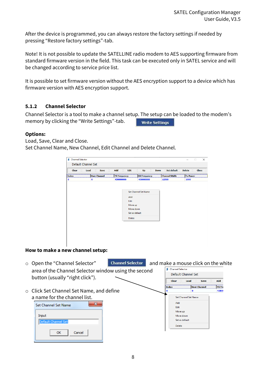After the device is programmed, you can always restore the factory settings if needed by pressing "Restore factory settings"-tab.

Note! It is not possible to update the SATELLINE radio modem to AES supporting firmware from standard firmware version in the field. This task can be executed only in SATEL service and will be changed according to service price list.

It is possible to set firmware version without the AES encryption support to a device which has firmware version with AES encryption support.

## <span id="page-7-0"></span>**5.1.2 Channel Selector**

Channel Selector is a tool to make a channel setup. The setup can be loaded to the modem's memory by clicking the "Write Settings"-tab. **Write Settings** 

#### **Options:**

Load, Save, Clear and Close. Set Channel Name, New Channel, Edit Channel and Delete Channel.



| ○ Open the "Channel Selector"                        | <b>Channel Selector</b> | and make a mouse click on the white |                         |                     |               |
|------------------------------------------------------|-------------------------|-------------------------------------|-------------------------|---------------------|---------------|
| area of the Channel Selector window using the second |                         | 5                                   | <b>Channel Selector</b> |                     |               |
|                                                      |                         |                                     | Default Channel Set     |                     |               |
| button (usually "right click").                      |                         |                                     | <b>Clear</b><br>Load    | <b>Save</b>         | Add           |
|                                                      |                         | <b>Index</b>                        |                         | <b>User Channel</b> | <b>TX</b> Fre |
| $\circ$ Click Set Channel Set Name, and define       |                         |                                     |                         | $\Omega$            | 43800         |
| a name for the channel list.                         |                         |                                     | Set Channel Set Name    |                     |               |
| x                                                    |                         |                                     | Add                     |                     |               |
| Set Channel Set Name                                 |                         |                                     | Edit                    |                     |               |
|                                                      |                         |                                     | Move up                 |                     |               |
| Input                                                |                         |                                     | Move down               |                     |               |
| Default Channel Set                                  |                         |                                     | Set as default          |                     |               |
|                                                      |                         |                                     | <b>Delete</b>           |                     |               |
| OK<br>Cancel                                         |                         |                                     |                         |                     |               |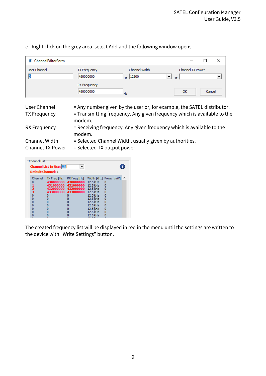| ChannelEditorForm |                                  |                             |                                                                                                                                                    |
|-------------------|----------------------------------|-----------------------------|----------------------------------------------------------------------------------------------------------------------------------------------------|
| User Channel      | <b>TX Frequency</b><br>430000000 | Channel Width<br>$HZ$ 12500 | Channel TX Power<br>▼∣<br>Hz                                                                                                                       |
|                   | <b>RX</b> Frequency<br>430000000 | Hz                          | Cancel<br>OK                                                                                                                                       |
| User Channel      |                                  |                             | = Any number given by the user or, for example, the SATEL distributor<br>$=$ Transmitting frequency. Any given frequency which is available to the |

o Right click on the grey area, select Add and the following window opens.

| User Channel            | = Any number given by the user or, for example, the SATEL distributor.  |
|-------------------------|-------------------------------------------------------------------------|
| <b>TX Frequency</b>     | = Transmitting frequency. Any given frequency which is available to the |
|                         | modem.                                                                  |
| RX Frequency            | $=$ Receiving frequency. Any given frequency which is available to the  |
|                         | modem.                                                                  |
| Channel Width           | = Selected Channel Width, usually given by authorities.                 |
| <b>Channel TX Power</b> | = Selected TX output power                                              |

| <b>Channel List</b><br>Channel List In Use: ON<br><b>Default Channel: 1</b> |                               |                                                                                                |                                                                                                                                          |                                                           |  |
|-----------------------------------------------------------------------------|-------------------------------|------------------------------------------------------------------------------------------------|------------------------------------------------------------------------------------------------------------------------------------------|-----------------------------------------------------------|--|
| Channel<br>n<br>2<br>3<br>o<br>o<br>Ō<br>Ō<br>Ō<br>o                        | $TX$ Freq $[Hz]$<br>433000000 | RX Freg [Hz]<br>430000000 430000000<br>431000000 431000000<br>432000000 432000000<br>433000000 | 12.5 kHz<br>12.5 kHz<br>12.5 kHz<br>12.5 kHz<br>$12.5$ kHz<br>$12.5$ kHz<br>$12.5$ kHz<br>$12.5$ kHz<br>12.5 kHz<br>12.5 kHz<br>12.5 kHz | Width [kHz] Power [mW]<br>0<br>٥<br>٥<br>٥<br>Ō<br>n<br>n |  |

The created frequency list will be displayed in red in the menu until the settings are written to the device with "Write Settings" button.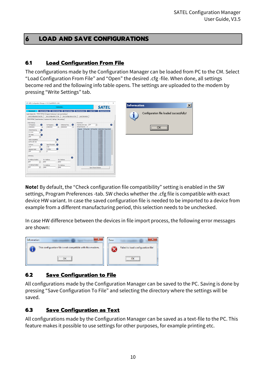# <span id="page-9-0"></span>6 **LOAD AND SAVE CONFIGURATIONS**

# <span id="page-9-1"></span>**6.1 Load Configuration From File**

The configurations made by the Configuration Manager can be loaded from PC to the CM. Select "Load Configuration From File" and "Open" the desired .cfg -file. When done, all settings become red and the following info table opens. The settings are uploaded to the modem by pressing "Write Settings" tab.

| S SATEL Configuration Manager v1.10.3 (SatelNMS.ID v3.64)                                                                                                                                                                                                                                                                                                                                                                                                                                                                                                       | $\Box$<br>$\times$<br>$\overline{\phantom{a}}$                                                                                                                                                                                                                                                                                                        |                                         |                 |
|-----------------------------------------------------------------------------------------------------------------------------------------------------------------------------------------------------------------------------------------------------------------------------------------------------------------------------------------------------------------------------------------------------------------------------------------------------------------------------------------------------------------------------------------------------------------|-------------------------------------------------------------------------------------------------------------------------------------------------------------------------------------------------------------------------------------------------------------------------------------------------------------------------------------------------------|-----------------------------------------|-----------------|
| Connected                                                                                                                                                                                                                                                                                                                                                                                                                                                                                                                                                       | <b>SATEL</b>                                                                                                                                                                                                                                                                                                                                          | Information                             | $\vert x \vert$ |
| <b>Reset Settings</b><br><b>Flash Hardware</b><br><b>Read Settings</b><br>Write Settings<br><b>Scan Tool</b><br><b>Disconnect</b><br>Radio Modem Info Modem Settings   Program Preferences   User Level Settings  <br>Load Configuration From File Save Configuration To File<br>Save Configuration as Text<br>Load ChannelList<br>Radio Settings   Serial Interface   Customer info   Call Sign   Misc settings                                                                                                                                                | <b>Channel Selector</b>                                                                                                                                                                                                                                                                                                                               | Configuration file loaded successfully! |                 |
| Radio Settings<br>Channel List<br>$\bullet$<br>◉<br>$\bullet$<br>Reference Freq<br>Channel List In Use: OFF<br><b>Rx Frequency</b><br>Tx Frequency<br>Default Channel: 0<br>438000000<br>438000000<br>438000000<br>Hz<br>Hz.<br>Hz<br>Channel Spacing<br>Q<br>12.5 léig<br>$\bullet$<br>$\sqrt{2}$<br><b>FEC Mode</b><br>œ<br>lore<br>n<br>Œ<br>Radio Compatibility<br>×<br>SATELLINE-3AS<br>$\circ$<br>n<br>ø<br>Signal Threshold<br>Ω<br>Tx Power<br><b>D</b><br>1W<br>$-115$<br>ര<br><b>Tx Delay</b><br>œ<br>Repeater Mode<br>o<br><b>OFF</b><br>ь<br>n<br>n | $\bullet$<br>$\cdot$<br>Channel TX Freq [Hz] RX Freq [Hz] Width [kHz] Power [mW] ^<br>$12.5\,\mathrm{kHz}$<br>12.5 kHz<br>12.5 kHz<br>12.5 kHz<br>12.5 kHz<br>12.5 kHz<br>12.5 kHz<br>12.5 kHz<br>12.5 kHz<br>12.5 kHz<br>12.5 lotz<br>12.5 kHz<br>12.5 kHz<br>12.5 lotz<br>12.5 létiz<br>12.5 kHz<br>12.5 lotz<br>12.5 kHz<br>12.5 kHz<br>12.5 ld-tz | ,,,,,,,,,,,,,,,,,,,,,,,,,               |                 |
| Addressing<br>$\bullet$<br>Rx Address Enabled<br>Rx 1 Address<br>Rx 2 Address<br>$\sqrt{2}$<br>lore<br>0000<br>0000<br>$\check{}$<br>Tx Address Enabled<br>Tx 1 Address<br>Tx 2 Address<br>OFF<br>$\check{}$<br>0000<br>0000                                                                                                                                                                                                                                                                                                                                    | 12.5 kHz<br>12.5 kHz<br>12.5 kHz<br>12.5 kHz<br>12.5 letz<br>12.5 kHz<br>12.5 kHz<br>12.5 lotz<br>n<br><b>M</b><br>12.5 kHz<br>Open Channel Selector                                                                                                                                                                                                  |                                         |                 |
|                                                                                                                                                                                                                                                                                                                                                                                                                                                                                                                                                                 |                                                                                                                                                                                                                                                                                                                                                       |                                         |                 |

**Note!** By default, the "Check configuration file compatibility" setting is enabled in the SW settings, Program Preferences -tab. SW checks whether the .cfg file is compatible with exact device HW variant. In case the saved configuration file is needed to be imported to a device from example from a different manufacturing period, this selection needs to be unchecked.

In case HW difference between the devices in file import process, the following error messages are shown:



# <span id="page-9-2"></span>**6.2 Save Configuration to File**

All configurations made by the Configuration Manager can be saved to the PC. Saving is done by pressing "Save Configuration To File" and selecting the directory where the settings will be saved.

## <span id="page-9-3"></span>**6.3 Save Configuration as Text**

All configurations made by the Configuration Manager can be saved as a text-file to the PC. This feature makes it possible to use settings for other purposes, for example printing etc.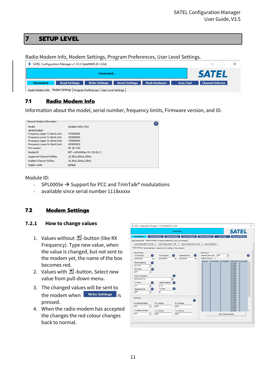## <span id="page-10-0"></span>7 **SETUP LEVEL**

Radio Modem Info, Modem Settings, Program Preferences, User Level Settings.

| <b>S</b> SATEL Configuration Manager v1.10.3 (SatelNMS.ID v3.64)                                                                  |                         |
|-----------------------------------------------------------------------------------------------------------------------------------|-------------------------|
| Connected                                                                                                                         | <b>SATEL</b>            |
| Flash Hardware<br><b>Read Settings</b><br><b>Reset Settings</b><br><b>Write Settings</b><br><b>Scan Tool</b><br><b>Disconnect</b> | <b>Channel Selector</b> |
| Radio Modem Info Modem Settings   Program Preferences   User Level Settings                                                       |                         |

# <span id="page-10-1"></span>**7.1 Radio Modem Info**

Information about the model, serial number, frequency limits, Firmware version, and ID.

| General Modem Information      | 7                              |
|--------------------------------|--------------------------------|
| Model:                         | Satelline EASv-35W             |
| Serial Number:                 |                                |
| Frequency Upper Tx Band Limit: | 473000000                      |
| Frequency Lower Tx Band Limit: | 403000000                      |
| Frequency Upper Rx Band Limit: | 473000000                      |
| Frequency Lower Rx Band Limit: | 403000000                      |
| FW-version:                    | 06.18.3.60                     |
| Module ID                      | EPT + SPL0005e / PV: 05.00 / I |
| Supported Channel Widths:      | 12.5kHz, 20kHz, 25kHz          |
| <b>Enabled Channel Widths:</b> | 12.5kHz, 20kHz, 25kHz          |
| Region Code:                   | Default                        |

#### Module ID:

- SPL0005e  $\rightarrow$  Support for PCC and TrimTalk® modulations
- available since serial number 1118xxxxx

## <span id="page-10-2"></span>**7.2 Modem Settings**

#### <span id="page-10-3"></span>**7.2.1 How to change values**

- 1. Values without  $\mathbf{I}$ -button (like RX Frequency). Type new value, when the value is changed, but not sent to the modem yet, the name of the box becomes red.
- 2. Values with  $\blacksquare$ -button. Select new value from pull-down menu.
- 3. The changed values will be sent to the modem when **Write Settings** is pressed.
- 4. When the radio modem has accepted the changes the red colour changes back to normal.

|                                        |                                                                               | Connected                                      |    |                                                                  |                                  | <b>SATEL</b>           |                                      |
|----------------------------------------|-------------------------------------------------------------------------------|------------------------------------------------|----|------------------------------------------------------------------|----------------------------------|------------------------|--------------------------------------|
| <b>Disconnect</b>                      | <b>Read Settings</b>                                                          | <b>Write Settings</b><br><b>Reset Settings</b> |    | <b>Flash Hardware</b>                                            | <b>Scan Tool</b>                 |                        | <b>Channel Selector</b>              |
|                                        | Radio Modem Info Modem Settings   Program Preferences   User Level Settings   |                                                |    |                                                                  |                                  |                        |                                      |
| Load Configuration From File           | Save Configuration To File                                                    | Save Configuration as Text                     |    | <b>Load ChannelList</b>                                          |                                  |                        |                                      |
|                                        | Radio Settings   Serial Interface   Customer info   Call Sign   Misc settings |                                                |    |                                                                  |                                  |                        |                                      |
| Radio Settings                         |                                                                               |                                                |    | Channel List                                                     |                                  |                        |                                      |
| Q)<br><b>Tx Frequency</b>              | <b>Rx Frequency</b>                                                           | 21<br>Reference Freq                           | 2  | Channel List In Use:                                             | loFF<br>$\overline{\phantom{a}}$ |                        | ø                                    |
| 438000000                              | 438000000<br>Hz                                                               | 438000000<br>Hz                                | Hz | Default Channel: 0                                               |                                  |                        |                                      |
| Channel Spacing<br>7                   |                                                                               |                                                |    | Channel<br>TX Freq [Hz]<br>n<br>$\Omega$                         | RX Freq [Hz]<br>n                | 12.5 kHz               | Width [kHz] Power [mW] ^<br>$\Omega$ |
| 12.5 kHz<br>$\mathbf{v}$               |                                                                               |                                                |    | $\mathbf{0}$<br>$\Omega$<br>$\mathbf{0}$<br>$\mathbf{0}$         | $\circ$<br>ō                     | 12.5 kHz<br>12.5 kHz   | $\Omega$<br>$\Omega$                 |
| FEC Mode<br>Œ.                         |                                                                               |                                                |    | $\Omega$<br>$\Omega$<br>$\mathbf{0}$<br>$\mathbf{0}$             | ō<br>ō                           | 12.5 kHz<br>12.5 kHz   | $\Omega$<br>$\Omega$                 |
| OFF<br>$\blacktriangledown$            |                                                                               |                                                |    | ō<br>$\mathbf{0}$                                                | $\bullet$                        | 12.5 kHz               | $\overline{0}$                       |
| <b>Radio Compatibility</b>             |                                                                               | $\overline{\mathbf{r}}$                        |    | $\bullet$<br>$\mathbf{0}$<br>$\theta$<br>$\mathbf{0}$            | o<br>$\bullet$                   | 12.5 kHz<br>12.5 kHz   | $\mathbf{0}$<br>$\mathbf{0}$         |
| SATELLINE-3AS                          |                                                                               |                                                |    | $\overline{0}$<br>$\mathbf{0}$<br>$\mathbf{0}$<br>$\overline{0}$ | $\bullet$<br>$\bullet$           | 12.5 kHz<br>12.5 kHz   | $\Omega$<br>$\Omega$                 |
| <b>Tx Power</b><br>7                   | Signal Threshold                                                              | Ŧ.                                             |    | $\mathbf{0}$<br>$\mathbf{0}$<br>$\mathbf{0}$<br>$\mathbf{0}$     | $\mathbf{0}$<br>$\mathbf{0}$     | $12.5$ kHz<br>12.5 kHz | $\Omega$<br>$\Omega$                 |
| 1W<br>$\overline{\phantom{a}}$         | $-115$                                                                        |                                                |    | $\mathbf{0}$<br>$\mathbf{0}$<br>$\mathbf{0}$<br>$\mathbf{0}$     | $\bullet$<br>$\mathbf{0}$        | 12.5 kHz<br>12.5 kHz   | n<br>$\mathbf 0$                     |
| Q.<br><b>Repeater Mode</b>             | <b>Tx Delay</b>                                                               | 2                                              |    | $\theta$<br>$\overline{0}$<br>$\theta$<br>$\overline{0}$         | $\bullet$<br>$\theta$            | 12.5 kHz<br>12.5 kHz   | $\mathbf 0$<br>$\mathbf{0}$          |
| OFF<br>$\overline{\phantom{a}}$        | о                                                                             |                                                |    | $\theta$<br>$\mathbf{0}$<br>$\mathbf{0}$<br>$\mathbf{0}$         | $\bullet$<br>$\bullet$           | 12.5 kHz<br>12.5 kHz   | $\mathbf{0}$<br>$\Omega$             |
|                                        |                                                                               |                                                |    | $\mathbf{0}$<br>$\mathbf{0}$<br>$\mathbf{0}$<br>$\mathbf{0}$     | $\mathbf{0}$<br>o                | 12.5 kHz<br>$12.5$ kHz | $\Omega$<br>ö                        |
| Addressing                             |                                                                               |                                                |    | $\Omega$<br>$\mathbf{0}$<br>$\mathbf{0}$<br>$\mathbf{0}$         | ö<br>$\mathbf{O}$                | 12.5 kHz<br>12.5 kHz   | $\Omega$<br>$\Omega$                 |
| <b>Rx Address Enabled</b>              | Rx 1 Address                                                                  | Rx 2 Address                                   | ø  | ö<br>$\mathbf{0}$<br>$\bullet$<br>$\mathbf 0$                    | ō<br>o                           | 12.5 kHz<br>12.5 kHz   | $\Omega$<br>n                        |
| loff<br>$\overline{\phantom{a}}$       | laggo                                                                         | loggo                                          |    | $\theta$<br>$\mathbf{0}$<br>$\overline{0}$<br>$\overline{0}$     | $\bullet$<br>$\overline{0}$      | 12.5 kHz<br>12.5 kHz   | $\Omega$<br>$\mathbf{0}$             |
|                                        |                                                                               |                                                |    | $\theta$<br>$\mathbf{0}$<br>$\Omega$<br>$\mathbf{0}$             | ö<br>o                           | 12.5 kHz<br>12.5 kHz   | $\mathbf{0}$<br>$\Omega$             |
| <b>Tx Address Enabled</b>              | Tx 1 Address                                                                  | Tx 2 Address                                   |    | $\Omega$<br>n                                                    | n                                | 12.5 kHz               | $\Omega$                             |
| <b>OFF</b><br>$\overline{\phantom{a}}$ | 0000                                                                          | loooo                                          |    |                                                                  | Open Channel Selector            |                        |                                      |
|                                        |                                                                               |                                                |    |                                                                  |                                  |                        |                                      |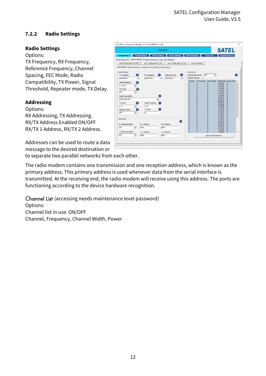## <span id="page-11-0"></span>**7.2.2 Radio Settings**

#### **Radio Settings**

Options:

TX Frequency, RX Frequency, Reference Frequency, Channel Spacing, FEC Mode, Radio Compatibility, TX Power, Signal Threshold, Repeater mode, TX Delay.

## **Addressing**

Options:

RX Addressing, TX Addressing. RX/TX Address Enabled ON/OFF RX/TX 1 Address, RX/TX 2 Address.

Addresses can be used to route a data message to the desired destination or

to separate two parallel networks from each other.

The radio modem contains one transmission and one reception address, which is known as the primary address. This primary address is used whenever data from the serial interface is transmitted. At the receiving end, the radio modem will receive using this address. The ports are functioning according to the device hardware recognition.

Channel List (accessing needs maintenance level password) Options: Channel list in use: ON/OFF Channel, Frequency, Channel Width, Power

|                                                                               |                            | Connected                                      |                                                                                                 | <b>SATEL</b>                                |
|-------------------------------------------------------------------------------|----------------------------|------------------------------------------------|-------------------------------------------------------------------------------------------------|---------------------------------------------|
| <b>Disconnect</b>                                                             | <b>Read Settings</b>       | <b>Write Settings</b><br><b>Reset Settings</b> | <b>Flash Hardware</b><br><b>Scan Tool</b>                                                       | <b>Channel Selector</b>                     |
| Radio Modem Info Modem Settings   Program Preferences   User Level Settings   |                            |                                                |                                                                                                 |                                             |
| <b>Load Configuration From File</b>                                           | Save Configuration To File | Save Configuration as Text                     | <b>Load ChannelList</b>                                                                         |                                             |
| Radio Settings   Serial Interface   Customer info   Call Sign   Misc settings |                            |                                                |                                                                                                 |                                             |
|                                                                               |                            |                                                |                                                                                                 |                                             |
| Radio Settings<br>G)<br><b>Tx Frequency</b>                                   | <b>Rx Frequency</b>        | -21<br>Reference Freg                          | <b>Channel List</b><br>Ø<br>Channel List In Use:<br><b>OFF</b>                                  | Q<br>$\overline{\phantom{a}}$               |
| 438000000                                                                     | 438000000<br>Hz            | 438000000<br>Hz                                | Default Channel: 0<br>Hz                                                                        |                                             |
|                                                                               |                            |                                                | TX Freq [Hz]<br>Channel<br>RX Freq [Hz]                                                         | Width [kHz] Power [mW]                      |
| Channel Spacing<br>Ŧ.<br>12.5 kHz<br>$\blacktriangledown$                     |                            |                                                | $\overline{0}$<br>o<br>$\overline{0}$<br>$\bullet$<br>$\bullet$<br>$\circ$                      | $\theta$<br>12.5 kHz<br>12.5 kHz<br>ō       |
| FEC Mode                                                                      |                            |                                                | $\bullet$<br>$\mathbf{0}$<br>$\theta$<br>$\overline{0}$<br>$\mathbf{0}$<br>$\mathbf 0$          | 12.5 kHz<br>$\theta$<br>12.5 kHz<br>o       |
| 3<br>loff<br>$\overline{\phantom{a}}$                                         |                            |                                                | $\mathbf 0$<br>$\overline{0}$<br>Ō<br>ō<br>$\mathbf 0$<br>$\mathbf 0$                           | 12.5 kHz<br>Ō<br>12.5 kHz<br>ō              |
|                                                                               |                            | 2                                              | $\bullet$<br>$\overline{0}$<br>$\mathbf 0$<br>ō<br>$\overline{0}$<br>$\circ$                    | 12.5 kHz<br>ō<br>12.5 kHz<br>$\theta$       |
| Radio Compatibility<br>SATELLINE-3AS                                          |                            | ۰                                              | $\overline{0}$<br>$\mathbf 0$<br>$\mathbf{0}$<br>$\mathbf 0$<br>$\overline{0}$<br>$\mathbf 0$   | 12.5 kHz<br>o<br>12.5 kHz<br>ō              |
| <b>Tx Power</b>                                                               |                            |                                                | $\overline{0}$<br>$\overline{0}$<br>$\mathbf 0$<br>ō<br>$\bullet$<br>$\bullet$                  | 12.5 kHz<br>ō<br>12.5 kHz<br>ō              |
| 7<br>1W<br>$\blacktriangledown$                                               | Signal Threshold<br>$-115$ | 62                                             | ō<br>$\overline{0}$<br>$\overline{0}$<br>o<br>$\mathbf{0}$<br>$\mathbf 0$                       | 12.5 kHz<br>ō<br>12.5 kHz<br>ō              |
| Ŧ<br><b>Repeater Mode</b>                                                     | <b>Tx Delay</b>            | 2                                              | $\mathbf 0$<br>$\overline{0}$<br>$\mathbf{0}$<br>o<br>$\overline{0}$<br>$\overline{0}$          | 12.5 kHz<br>$\mathbf{0}$<br>12.5 kHz<br>ō   |
| OFF<br>$\overline{\phantom{a}}$                                               | o                          |                                                | $\mathbf 0$<br>$\mathbf{0}$<br>$\bullet$<br>ō<br>ō<br>$\overline{0}$                            | 12.5 kHz<br>٥<br>12.5 kHz<br>ō              |
|                                                                               |                            |                                                | o<br>o<br>$\mathbf 0$<br>ö<br>$\overline{0}$<br>$\mathbf{0}$                                    | 12.5 kHz<br>o<br>12.5 kHz<br>ō              |
| <b>Addressing</b>                                                             |                            |                                                | 0<br>$\mathbf{0}$<br>$\overline{0}$<br>$\mathbf{0}$<br>$\mathbf{0}$                             | 12.5 kHz<br>o<br>12.5 kHz<br>٥              |
|                                                                               |                            |                                                | $\frac{0}{0}$<br>⋒<br>$\overline{0}$<br>$\overline{0}$<br>ō<br>$\mathbf{0}$                     | 12.5 kHz<br>ō<br>12.5 kHz<br>ō              |
| <b>Rx Address Enabled</b>                                                     | <b>Rx 1 Address</b>        | <b>Rx 2 Address</b>                            | $\overline{0}$<br>$\overline{0}$<br>$\Omega$<br>$\overline{0}$<br>$\overline{0}$<br>$\theta$    | 12.5 kHz<br>$\mathbf{0}$<br>12.5 kHz<br>ō   |
| OFF<br>$\blacktriangledown$                                                   | 0000                       | 0000                                           | $\bullet$<br>$\mathbf{0}$<br>$\mathbf{0}$<br>$\overline{0}$<br>$\overline{0}$<br>$\overline{0}$ | 12.5 kHz<br>٥<br>12.5 kHz<br>$\overline{0}$ |
| <b>Tx Address Enabled</b>                                                     | <b>Tx 1 Address</b>        | <b>Tx 2 Address</b>                            | ō<br>$\Omega$<br>$\Omega$                                                                       | 12.5 kHz<br>ō                               |
| OFF<br>$\blacktriangledown$                                                   | 0000                       | 0000                                           |                                                                                                 | Open Channel Selector                       |
|                                                                               |                            |                                                |                                                                                                 |                                             |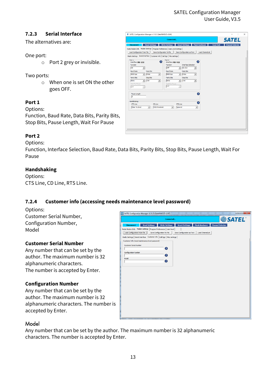## <span id="page-12-0"></span>**7.2.3 Serial Interface**

The alternatives are:

#### One port:

o Port 2 grey or invisible.

#### Two ports:

o When one is set ON the other goes OFF.

## **Port 1**

Options:

Function, Baud Rate, Data Bits, Parity Bits, Stop Bits, Pause Length, Wait For Pause

## **Port 2**

Options:

Function, Interface Selection, Baud Rate, Data Bits, Parity Bits, Stop Bits, Pause Length, Wait For Pause

#### **Handshaking**

Options: CTS Line, CD Line, RTS Line.

## <span id="page-12-1"></span>**7.2.4 Customer info (accessing needs maintenance level password)**

Options: Customer Serial Number, Configuration Number, Model

#### **Customer Serial Number**

Any number that can be set by the author. The maximum number is 32 alphanumeric characters. The number is accepted by Enter.

#### **Configuration Number**

Any number that can be set by the author. The maximum number is 32 alphanumeric characters. The number is accepted by Enter.

|                                                                               |                            | Connected             |                            |                       | <b><i>SATEL</i></b>     |  |
|-------------------------------------------------------------------------------|----------------------------|-----------------------|----------------------------|-----------------------|-------------------------|--|
| <b>Disconnect</b>                                                             | <b>Read Settings</b>       | <b>Write Settings</b> | <b>Reset Settings</b>      | <b>Flash Hardware</b> | <b>Channel Selector</b> |  |
| Radio Modem Info Modem Settings   Program Preferences   User level            |                            |                       |                            |                       |                         |  |
| Load Configuration From File                                                  | Save Configuration To File |                       | Save Configuration as Text | Load ChannelList      |                         |  |
| Radio Settings   Serial Interface   Customer info   Call Sign   Misc settings |                            |                       |                            |                       |                         |  |
| Customer Info (need maintenance level password)                               |                            |                       |                            |                       |                         |  |
| <b>Customer Serial Number</b>                                                 |                            |                       |                            |                       |                         |  |
|                                                                               |                            | ◐                     |                            |                       |                         |  |
| <b>Configuration Number</b>                                                   |                            |                       |                            |                       |                         |  |
|                                                                               |                            | Ø                     |                            |                       |                         |  |
| Model                                                                         |                            | Ø                     |                            |                       |                         |  |
|                                                                               |                            |                       |                            |                       |                         |  |
|                                                                               |                            |                       |                            |                       |                         |  |
|                                                                               |                            |                       |                            |                       |                         |  |
|                                                                               |                            |                       |                            |                       |                         |  |
|                                                                               |                            |                       |                            |                       |                         |  |
|                                                                               |                            |                       |                            |                       |                         |  |
|                                                                               |                            |                       |                            |                       |                         |  |
|                                                                               |                            |                       |                            |                       |                         |  |
|                                                                               |                            |                       |                            |                       |                         |  |
|                                                                               |                            |                       |                            |                       |                         |  |
|                                                                               |                            |                       |                            |                       |                         |  |
|                                                                               |                            |                       |                            |                       |                         |  |
|                                                                               |                            |                       |                            |                       |                         |  |
|                                                                               |                            |                       |                            |                       |                         |  |

## Model

Any number that can be set by the author. The maximum number is 32 alphanumeric characters. The number is accepted by Enter.

|                                                                             | Connected                                     |                                                | <b>SATEL</b>                                |
|-----------------------------------------------------------------------------|-----------------------------------------------|------------------------------------------------|---------------------------------------------|
| <b>Read Settings</b><br><b>Disconnect</b>                                   | <b>Write Settings</b>                         | <b>Flash Hardware</b><br><b>Reset Settings</b> | <b>Scan Tool</b><br><b>Channel Selector</b> |
| Radio Modem Info Modem Settings   Program Preferences   User Level Settings |                                               |                                                |                                             |
| Load Configuration From File                                                | Save Configuration To File                    | Save Configuration as Text<br>Load ChannelList |                                             |
| Radio Settings Serial Interface   Customer info   Call Sign   Misc settings |                                               |                                                |                                             |
| Port 1                                                                      | Port <sub>2</sub>                             |                                                |                                             |
| Interface: RS-232                                                           | G                                             | ⋒<br>Interface: RS-422                         |                                             |
| <b>Function</b>                                                             | Function                                      | <b>Interface Selection</b>                     |                                             |
| ON<br>$\vert \cdot \vert$                                                   | OFF                                           | RS-422<br>$\blacktriangledown$<br>$\mathbf{v}$ |                                             |
| <b>Baud Rate</b><br>Data Bits                                               | <b>Baud Rate</b>                              | <b>Data Bits</b>                               |                                             |
| $\mathbf{v}$ 8 bits<br>9600 bps                                             | 9600 bps<br>$\mathbf{v}$                      | 8 bits<br>$\mathbf{v}$<br>$\mathbf{v}$         |                                             |
| <b>Stop Bits</b><br><b>Parity Bits</b>                                      | <b>Parity Bits</b>                            | <b>Stop Bits</b>                               |                                             |
| $- 1 bit$<br>None                                                           | $\vert \cdot \vert$<br>None                   | 1 bit<br>$\mathbf{v}$<br>$\mathbf{v}$          |                                             |
| Wait For Pause                                                              | Wait For Pause<br>OFF                         |                                                |                                             |
| <b>OFF</b><br>$\psi$                                                        |                                               | $\mathbf{w}$                                   |                                             |
|                                                                             |                                               |                                                |                                             |
| Pause Length                                                                |                                               | Q                                              |                                             |
| 3                                                                           |                                               |                                                |                                             |
| Handshaking                                                                 |                                               | Q                                              |                                             |
| <b>CTS Line</b>                                                             | CD Line                                       | <b>RTS Line</b>                                |                                             |
| Clear To Send<br>$\mathbf{r}$                                               | <b>RSSI</b> threshold<br>$\blacktriangledown$ | Ignored<br>$\overline{\phantom{a}}$            |                                             |
|                                                                             |                                               |                                                |                                             |
|                                                                             |                                               |                                                |                                             |
|                                                                             |                                               |                                                |                                             |
|                                                                             |                                               |                                                |                                             |
|                                                                             |                                               |                                                |                                             |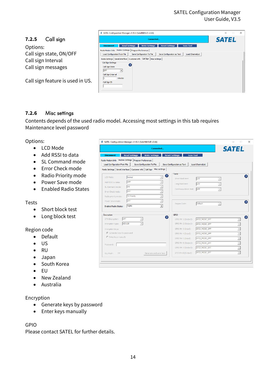#### SATEL Configuration Manager User Guide, V3.5

<span id="page-13-0"></span>

#### <span id="page-13-1"></span>**7.2.6** Misc settings

Contents depends of the used radio model. Accessing most settings in this tab requires Maintenance level password

#### Options:

- LCD Mode
- Add RSSI to data
- SL Command mode
- Error Check mode
- Radio Priority mode
- Power Save mode
- Enabled Radio States

#### Tests

- Short block test
- Long block test

#### Region code

- Default
- US
- RU
- Japan
- South Korea
- EU
- New Zealand
- Australia

#### Encryption

- Generate keys by password
- Enter keys manually

#### GPIO

Please contact SATEL for further details.

|                                                                                                 |                                                                                                                                                                                                | Connected                                  |                                                                                       |                                 | <b>SATEL</b>             |
|-------------------------------------------------------------------------------------------------|------------------------------------------------------------------------------------------------------------------------------------------------------------------------------------------------|--------------------------------------------|---------------------------------------------------------------------------------------|---------------------------------|--------------------------|
| <b>Disconnect</b><br>Load Configuration From File                                               | <b>Read Settings</b><br>Radio Modem Info Modem Settings   Program Preferences  <br>Save Configuration To File<br>Radio Settings   Serial Interface   Customer info   Call Sign   Misc settings | <b>Write Settings</b>                      | <b>Reset Settings</b><br><b>Scan Tool</b><br>Save Configuration as Text               | Load ChannelList                |                          |
| LCD Mode:<br>Add RSSI to data:<br>SL Command mode:<br>Error Check mode:<br>Radio priority mode: | Normal<br>OFF<br>ON<br>OFF<br><b>TX Priority</b>                                                                                                                                               | 7                                          | Tests <sup>-</sup><br>Short block test:<br>Long block test:<br>Continuous block test: | OFF<br><b>OFF</b><br><b>OFF</b> |                          |
| Power Save mode:<br><b>Enabled Radio States:</b>                                                | OFF<br><b>TX/RX</b>                                                                                                                                                                            | $\overline{ }$<br>$\overline{\phantom{a}}$ | Region Code:                                                                          | Default                         |                          |
| Encryption                                                                                      |                                                                                                                                                                                                | Q                                          | <b>GPIO</b>                                                                           |                                 | a                        |
| OTA Encryption:                                                                                 | OFF                                                                                                                                                                                            |                                            | GPIO Pin 1 (Output):                                                                  | GPIO MODE OFF                   | $\overline{\phantom{a}}$ |
| Encryption type:                                                                                | AES128                                                                                                                                                                                         |                                            | GPIO Pin 2 (Output):                                                                  | GPIO MODE OFF                   | $\overline{\phantom{a}}$ |
| Encryption keys:                                                                                |                                                                                                                                                                                                |                                            | GPIO Pin 3 (Input):                                                                   | GPIO_MODE_OFF                   | $\overline{\phantom{a}}$ |
| ← Generate keys by password                                                                     |                                                                                                                                                                                                |                                            | GPIO Pin 4 (Input):                                                                   | GPIO_MODE_OFF                   | $\overline{ }$           |
| C Enter keys manually                                                                           |                                                                                                                                                                                                |                                            | GPIO Pin 5 (Input):                                                                   | GPIO_MODE_OFF                   | $\overline{\phantom{a}}$ |
| Password:                                                                                       |                                                                                                                                                                                                |                                            | GPIO Pin 6 (Output):                                                                  | GPIO MODE OFF                   | $\overline{ }$           |
|                                                                                                 |                                                                                                                                                                                                |                                            | GPIO Pin 7 (Output):                                                                  | GPIO MODE OFF                   | $\overline{\phantom{a}}$ |
|                                                                                                 |                                                                                                                                                                                                | Generate and save keys                     | GPIO Pin 8 (Output):                                                                  | GPIO_MODE_OFF                   | $\overline{\phantom{a}}$ |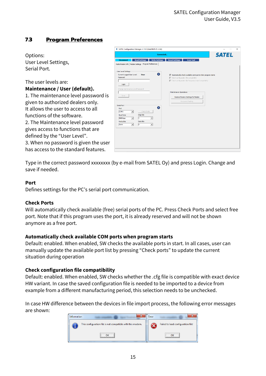# <span id="page-14-0"></span>**7.3 Program Preferences**

Options: User Level Settings, Serial Port.

#### The user levels are: **Maintenance / User (default).**

1. The maintenance level password is given to authorized dealers only. It allows the user to access to all functions of the software. 2. The Maintenance level password gives access to functions that are defined by the "User Level". 3. When no password is given the user has access to the standard features.

|                                                                                                        | Connected                                                                                                                                                                                  | <b>SATEL</b>                                                                                                                                                                                                           |  |
|--------------------------------------------------------------------------------------------------------|--------------------------------------------------------------------------------------------------------------------------------------------------------------------------------------------|------------------------------------------------------------------------------------------------------------------------------------------------------------------------------------------------------------------------|--|
| <b>Disconnect</b>                                                                                      | <b>Read Settings</b><br>Radio Modem Info   Modem Settings   Program Preferences                                                                                                            | <b>Write Settings</b><br><b>Reset Settings</b><br><b>Scan Tool</b>                                                                                                                                                     |  |
| User Level Settings:<br>Current Logged User Level:<br>Password<br>Login                                | <b>User</b><br>Change maintenance Level Password                                                                                                                                           | ø<br>$\overline{\mathsf{v}}$ Automatically check available comm ports when program starts<br>$\overline{\mathbb{W}}$ Check configuration file compatibility<br>√ Check configuration file frequency band compatibility |  |
| Save<br>Serial Port<br>Port<br>COM <sub>2</sub><br><b>Baud Rate</b><br>9600 bps<br>Parity Bits<br>None | Check Ports<br>$\vert \cdot \vert$<br><b>Stop Bits</b><br>h.<br>$\vert \cdot \vert$<br>$\blacktriangledown$<br>Data Bits<br>$\overline{\mathbf{8}}$<br>$\vert \cdot \vert$<br>$\mathbf{v}$ | Maintenance Operations <sup>-</sup><br>Restore Factory Settings To Modem<br>Recovery flashing<br>Θ                                                                                                                     |  |

Type in the correct password xxxxxxxx (by e-mail from SATEL Oy) and press Login. Change and save if needed.

#### **Port**

Defines settings for the PC's serial port communication.

#### **Check Ports**

Will automatically check available (free) serial ports of the PC. Press Check Ports and select free port. Note that if this program uses the port, it is already reserved and will not be shown anymore as a free port.

#### **Automatically check available COM ports when program starts**

Default: enabled. When enabled, SW checks the available ports in start. In all cases, user can manually update the available port list by pressing "Check ports" to update the current situation during operation

#### **Check configuration file compatibility**

Default: enabled. When enabled, SW checks whether the .cfg file is compatible with exact device HW variant. In case the saved configuration file is needed to be imported to a device from example from a different manufacturing period, this selection needs to be unchecked.

In case HW difference between the devices in file import process, the following error messages are shown: